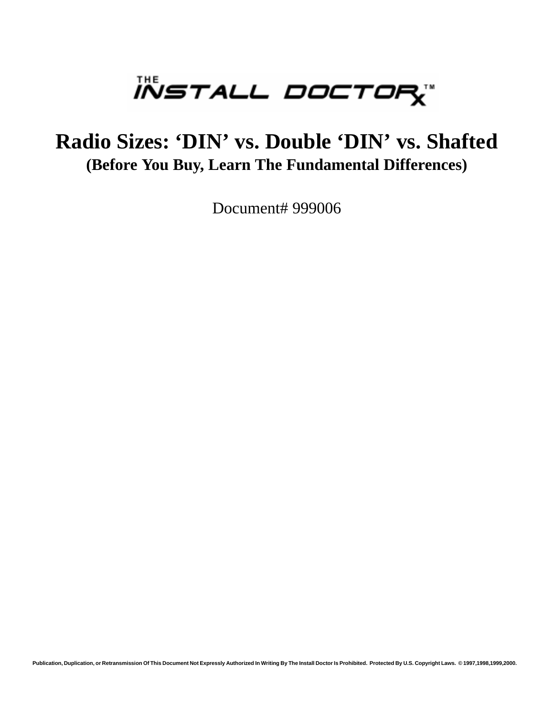

# **Radio Sizes: 'DIN' vs. Double 'DIN' vs. Shafted (Before You Buy, Learn The Fundamental Differences)**

Document# 999006

**Publication, Duplication, or Retransmission Of This Document Not Expressly Authorized In Writing By The Install Doctor Is Prohibited. Protected By U.S. Copyright Laws. © 1997,1998,1999,2000.**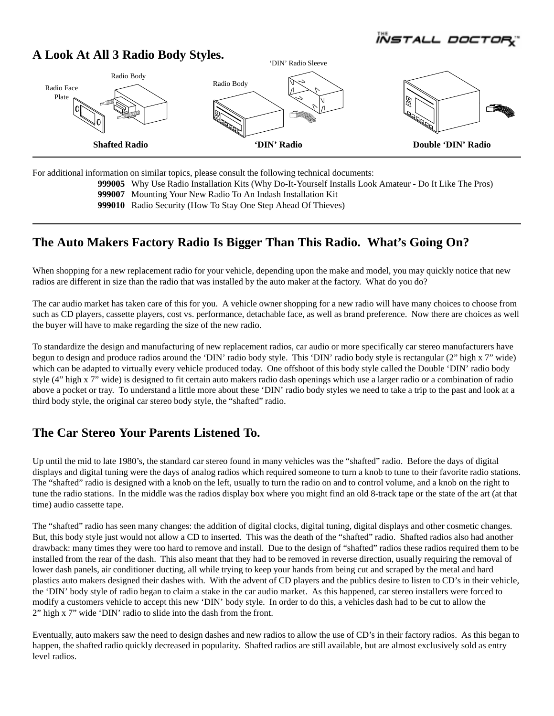*ÏÑSTALL DOC* 

#### **A Look At All 3 Radio Body Styles.**



For additional information on similar topics, please consult the following technical documents:

**999005** Why Use Radio Installation Kits (Why Do-It-Yourself Installs Look Amateur - Do It Like The Pros)

**999007** Mounting Your New Radio To An Indash Installation Kit

**999010** Radio Security (How To Stay One Step Ahead Of Thieves)

## **The Auto Makers Factory Radio Is Bigger Than This Radio. What's Going On?**

When shopping for a new replacement radio for your vehicle, depending upon the make and model, you may quickly notice that new radios are different in size than the radio that was installed by the auto maker at the factory. What do you do?

The car audio market has taken care of this for you. A vehicle owner shopping for a new radio will have many choices to choose from such as CD players, cassette players, cost vs. performance, detachable face, as well as brand preference. Now there are choices as well the buyer will have to make regarding the size of the new radio.

To standardize the design and manufacturing of new replacement radios, car audio or more specifically car stereo manufacturers have begun to design and produce radios around the 'DIN' radio body style. This 'DIN' radio body style is rectangular (2" high x 7" wide) which can be adapted to virtually every vehicle produced today. One offshoot of this body style called the Double 'DIN' radio body style (4" high x 7" wide) is designed to fit certain auto makers radio dash openings which use a larger radio or a combination of radio above a pocket or tray. To understand a little more about these 'DIN' radio body styles we need to take a trip to the past and look at a third body style, the original car stereo body style, the "shafted" radio.

#### **The Car Stereo Your Parents Listened To.**

Up until the mid to late 1980's, the standard car stereo found in many vehicles was the "shafted" radio. Before the days of digital displays and digital tuning were the days of analog radios which required someone to turn a knob to tune to their favorite radio stations. The "shafted" radio is designed with a knob on the left, usually to turn the radio on and to control volume, and a knob on the right to tune the radio stations. In the middle was the radios display box where you might find an old 8-track tape or the state of the art (at that time) audio cassette tape.

The "shafted" radio has seen many changes: the addition of digital clocks, digital tuning, digital displays and other cosmetic changes. But, this body style just would not allow a CD to inserted. This was the death of the "shafted" radio. Shafted radios also had another drawback: many times they were too hard to remove and install. Due to the design of "shafted" radios these radios required them to be installed from the rear of the dash. This also meant that they had to be removed in reverse direction, usually requiring the removal of lower dash panels, air conditioner ducting, all while trying to keep your hands from being cut and scraped by the metal and hard plastics auto makers designed their dashes with. With the advent of CD players and the publics desire to listen to CD's in their vehicle, the 'DIN' body style of radio began to claim a stake in the car audio market. As this happened, car stereo installers were forced to modify a customers vehicle to accept this new 'DIN' body style. In order to do this, a vehicles dash had to be cut to allow the 2" high x 7" wide 'DIN' radio to slide into the dash from the front.

Eventually, auto makers saw the need to design dashes and new radios to allow the use of CD's in their factory radios. As this began to happen, the shafted radio quickly decreased in popularity. Shafted radios are still available, but are almost exclusively sold as entry level radios.